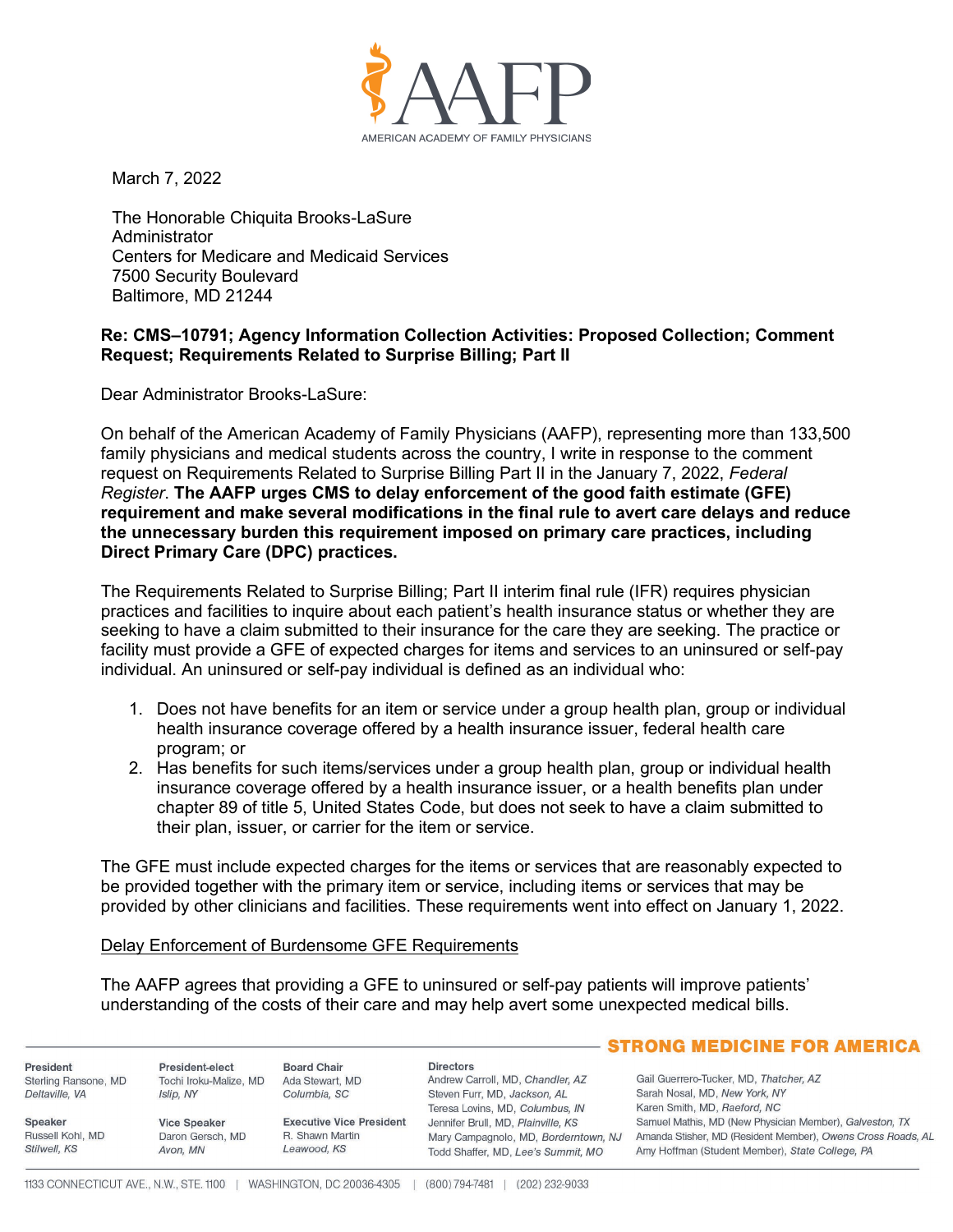

March 7, 2022

The Honorable Chiquita Brooks-LaSure Administrator Centers for Medicare and Medicaid Services 7500 Security Boulevard Baltimore, MD 21244

## **Re: CMS–10791; Agency Information Collection Activities: Proposed Collection; Comment Request; Requirements Related to Surprise Billing; Part II**

Dear Administrator Brooks-LaSure:

On behalf of the American Academy of Family Physicians (AAFP), representing more than 133,500 family physicians and medical students across the country, I write in response to the comment request on Requirements Related to Surprise Billing Part II in the January 7, 2022, *Federal Register*. **The AAFP urges CMS to delay enforcement of the good faith estimate (GFE) requirement and make several modifications in the final rule to avert care delays and reduce the unnecessary burden this requirement imposed on primary care practices, including Direct Primary Care (DPC) practices.**

The Requirements Related to Surprise Billing; Part II interim final rule (IFR) requires physician practices and facilities to inquire about each patient's health insurance status or whether they are seeking to have a claim submitted to their insurance for the care they are seeking. The practice or facility must provide a GFE of expected charges for items and services to an uninsured or self-pay individual. An uninsured or self-pay individual is defined as an individual who:

- 1. Does not have benefits for an item or service under a group health plan, group or individual health insurance coverage offered by a health insurance issuer, federal health care program; or
- 2. Has benefits for such items/services under a group health plan, group or individual health insurance coverage offered by a health insurance issuer, or a health benefits plan under chapter 89 of title 5, United States Code, but does not seek to have a claim submitted to their plan, issuer, or carrier for the item or service.

The GFE must include expected charges for the items or services that are reasonably expected to be provided together with the primary item or service, including items or services that may be provided by other clinicians and facilities. These requirements went into effect on January 1, 2022.

## Delay Enforcement of Burdensome GFE Requirements

The AAFP agrees that providing a GFE to uninsured or self-pay patients will improve patients' understanding of the costs of their care and may help avert some unexpected medical bills.

|                      |                        |                                 |                                      | <b>STRONG MEDICINE FOR AMERICA</b>                          |
|----------------------|------------------------|---------------------------------|--------------------------------------|-------------------------------------------------------------|
| President            | President-elect        | <b>Board Chair</b>              | <b>Directors</b>                     |                                                             |
| Sterling Ransone, MD | Tochi Iroku-Malize, MD | Ada Stewart, MD                 | Andrew Carroll, MD, Chandler, AZ     | Gail Guerrero-Tucker, MD, Thatcher, AZ                      |
| Deltaville, VA       | Islip, NY              | Columbia, SC                    | Steven Furr, MD, Jackson, AL         | Sarah Nosal, MD, New York, NY                               |
|                      |                        |                                 | Teresa Lovins, MD, Columbus, IN      | Karen Smith, MD, Raeford, NC                                |
| Speaker              | <b>Vice Speaker</b>    | <b>Executive Vice President</b> | Jennifer Brull, MD, Plainville, KS   | Samuel Mathis, MD (New Physician Member), Galveston, TX     |
| Russell Kohl, MD     | Daron Gersch, MD       | R. Shawn Martin                 | Mary Campagnolo, MD, Borderntown, NJ | Amanda Stisher, MD (Resident Member), Owens Cross Roads, AL |
| Stilwell, KS         | Avon, MN               | Leawood, KS                     | Todd Shaffer, MD, Lee's Summit, MO   | Amy Hoffman (Student Member), State College, PA             |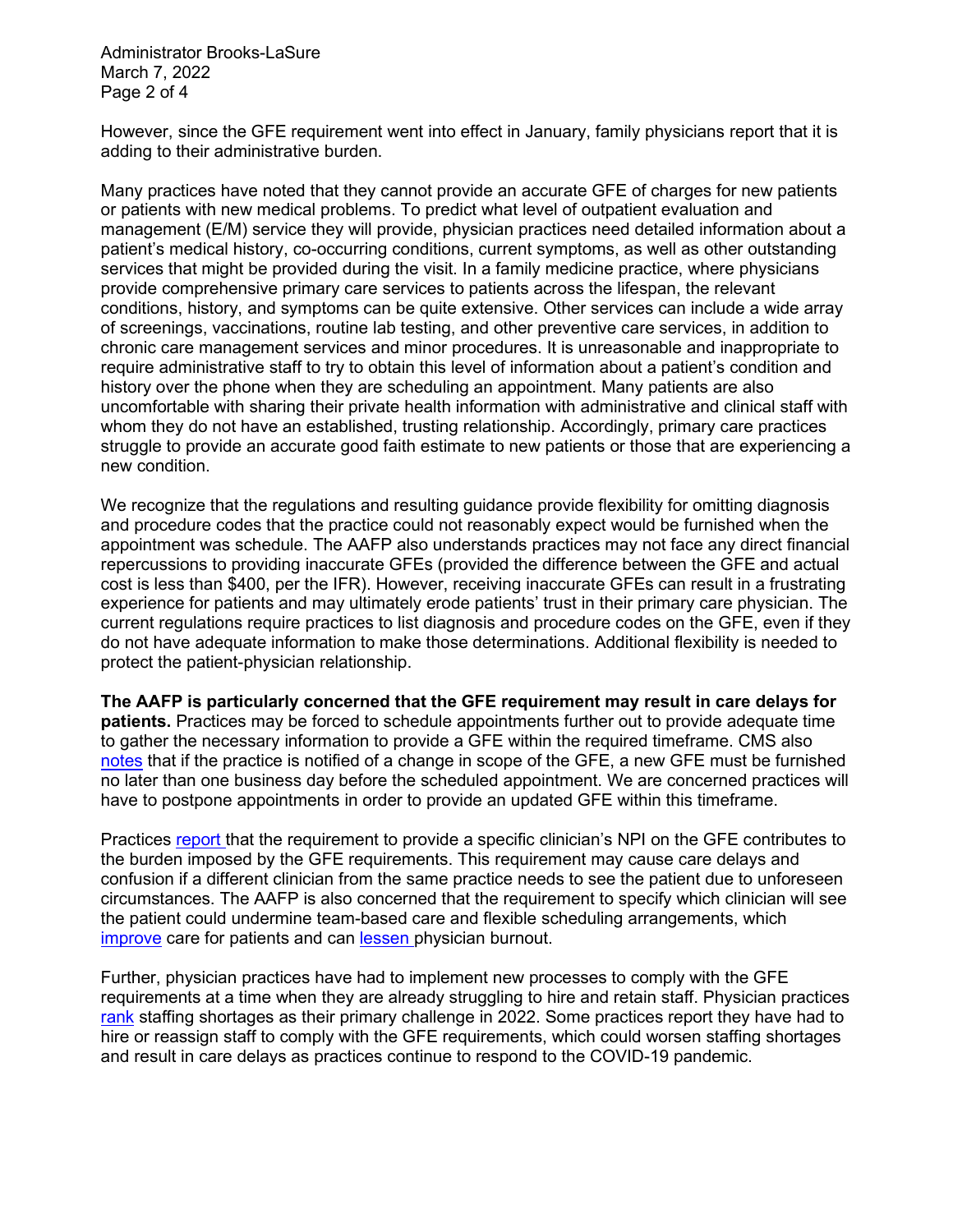Administrator Brooks-LaSure March 7, 2022 Page 2 of 4

However, since the GFE requirement went into effect in January, family physicians report that it is adding to their administrative burden.

Many practices have noted that they cannot provide an accurate GFE of charges for new patients or patients with new medical problems. To predict what level of outpatient evaluation and management (E/M) service they will provide, physician practices need detailed information about a patient's medical history, co-occurring conditions, current symptoms, as well as other outstanding services that might be provided during the visit. In a family medicine practice, where physicians provide comprehensive primary care services to patients across the lifespan, the relevant conditions, history, and symptoms can be quite extensive. Other services can include a wide array of screenings, vaccinations, routine lab testing, and other preventive care services, in addition to chronic care management services and minor procedures. It is unreasonable and inappropriate to require administrative staff to try to obtain this level of information about a patient's condition and history over the phone when they are scheduling an appointment. Many patients are also uncomfortable with sharing their private health information with administrative and clinical staff with whom they do not have an established, trusting relationship. Accordingly, primary care practices struggle to provide an accurate good faith estimate to new patients or those that are experiencing a new condition.

We recognize that the regulations and resulting guidance provide flexibility for omitting diagnosis and procedure codes that the practice could not reasonably expect would be furnished when the appointment was schedule. The AAFP also understands practices may not face any direct financial repercussions to providing inaccurate GFEs (provided the difference between the GFE and actual cost is less than \$400, per the IFR). However, receiving inaccurate GFEs can result in a frustrating experience for patients and may ultimately erode patients' trust in their primary care physician. The current regulations require practices to list diagnosis and procedure codes on the GFE, even if they do not have adequate information to make those determinations. Additional flexibility is needed to protect the patient-physician relationship.

**The AAFP is particularly concerned that the GFE requirement may result in care delays for patients.** Practices may be forced to schedule appointments further out to provide adequate time to gather the necessary information to provide a GFE within the required timeframe. CMS also [notes](https://www.cms.gov/CCIIO/Resources/Regulations-and-Guidance/Downloads/Guidance-Good-Faith-Estimates-FAQ.pdf) that if the practice is notified of a change in scope of the GFE, a new GFE must be furnished no later than one business day before the scheduled appointment. We are concerned practices will have to postpone appointments in order to provide an updated GFE within this timeframe.

Practices [report t](https://www.mgma.com/getmedia/9ee2423c-8069-4f71-9201-8a1221574231/02-2022-MGMA-Good-Faith-Estimates-FINAL.pdf.aspx?ext=.pd)hat the requirement to provide a specific clinician's NPI on the GFE contributes to the burden imposed by the GFE requirements. This requirement may cause care delays and confusion if a different clinician from the same practice needs to see the patient due to unforeseen circumstances. The AAFP is also concerned that the requirement to specify which clinician will see the patient could undermine team-based care and flexible scheduling arrangements, which [improve](https://www.nap.edu/catalog/25983/implementing-high-quality-primary-care-rebuilding-the-foundation-of-health) care for patients and can [lessen p](https://www.aafp.org/dam/AAFP/documents/advocacy/prevention/strategy/LT-CDC-HealthWorkerMentalHealthStress-012122.pdf)hysician burnout.

Further, physician practices have had to implement new processes to comply with the GFE requirements at a time when they are already struggling to hire and retain staff. Physician practices [rank](https://www.mgma.com/data/data-stories/staffing,-uncertainty-among-top-pandemic-challenge) staffing shortages as their primary challenge in 2022. Some practices report they have had to hire or reassign staff to comply with the GFE requirements, which could worsen staffing shortages and result in care delays as practices continue to respond to the COVID-19 pandemic.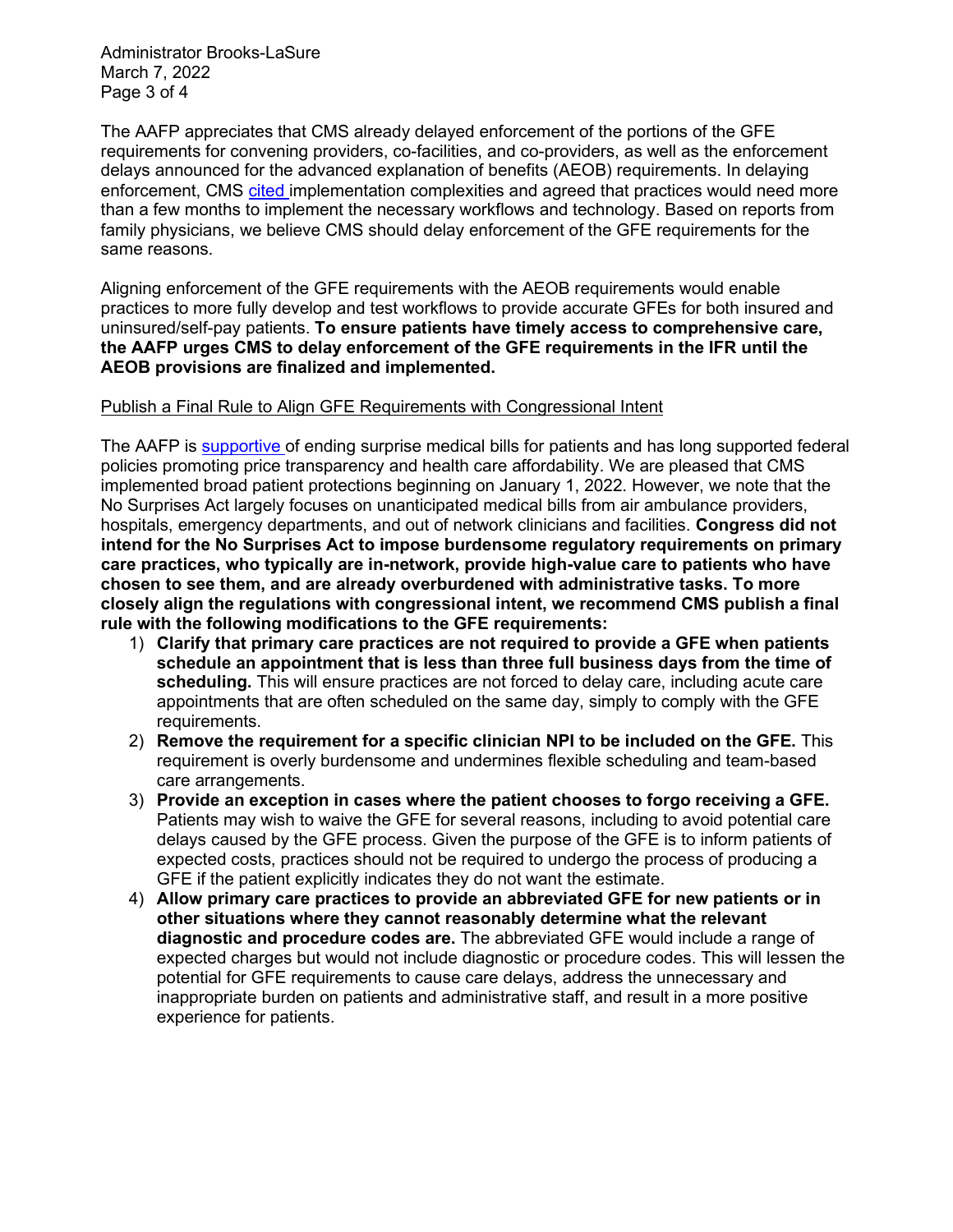Administrator Brooks-LaSure March 7, 2022 Page 3 of 4

The AAFP appreciates that CMS already delayed enforcement of the portions of the GFE requirements for convening providers, co-facilities, and co-providers, as well as the enforcement delays announced for the advanced explanation of benefits (AEOB) requirements. In delaying enforcement, CMS [cited](https://www.dol.gov/sites/dolgov/files/EBSA/about-ebsa/our-activities/resource-center/faqs/aca-part-49.pdf) implementation complexities and agreed that practices would need more than a few months to implement the necessary workflows and technology. Based on reports from family physicians, we believe CMS should delay enforcement of the GFE requirements for the same reasons.

Aligning enforcement of the GFE requirements with the AEOB requirements would enable practices to more fully develop and test workflows to provide accurate GFEs for both insured and uninsured/self-pay patients. **To ensure patients have timely access to comprehensive care, the AAFP urges CMS to delay enforcement of the GFE requirements in the IFR until the AEOB provisions are finalized and implemented.**

## Publish a Final Rule to Align GFE Requirements with Congressional Intent

The AAFP is [supportive o](https://www.aafp.org/dam/AAFP/documents/advocacy/legal/administrative/LT-CMS-SurpriseBilling-090721.pdf)f ending surprise medical bills for patients and has long supported federal policies promoting price transparency and health care affordability. We are pleased that CMS implemented broad patient protections beginning on January 1, 2022. However, we note that the No Surprises Act largely focuses on unanticipated medical bills from air ambulance providers, hospitals, emergency departments, and out of network clinicians and facilities. **Congress did not intend for the No Surprises Act to impose burdensome regulatory requirements on primary care practices, who typically are in-network, provide high-value care to patients who have chosen to see them, and are already overburdened with administrative tasks. To more closely align the regulations with congressional intent, we recommend CMS publish a final rule with the following modifications to the GFE requirements:**

- 1) **Clarify that primary care practices are not required to provide a GFE when patients schedule an appointment that is less than three full business days from the time of scheduling.** This will ensure practices are not forced to delay care, including acute care appointments that are often scheduled on the same day, simply to comply with the GFE requirements.
- 2) **Remove the requirement for a specific clinician NPI to be included on the GFE.** This requirement is overly burdensome and undermines flexible scheduling and team-based care arrangements.
- 3) **Provide an exception in cases where the patient chooses to forgo receiving a GFE.** Patients may wish to waive the GFE for several reasons, including to avoid potential care delays caused by the GFE process. Given the purpose of the GFE is to inform patients of expected costs, practices should not be required to undergo the process of producing a GFE if the patient explicitly indicates they do not want the estimate.
- 4) **Allow primary care practices to provide an abbreviated GFE for new patients or in other situations where they cannot reasonably determine what the relevant diagnostic and procedure codes are.** The abbreviated GFE would include a range of expected charges but would not include diagnostic or procedure codes. This will lessen the potential for GFE requirements to cause care delays, address the unnecessary and inappropriate burden on patients and administrative staff, and result in a more positive experience for patients.